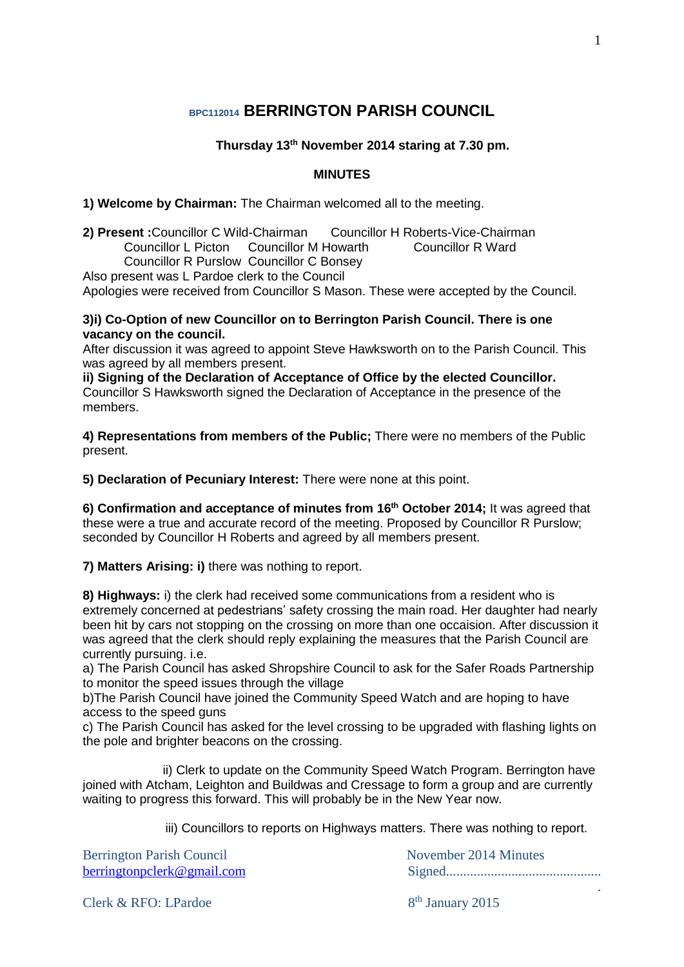# **BPC112014 BERRINGTON PARISH COUNCIL**

### **Thursday 13th November 2014 staring at 7.30 pm.**

#### **MINUTES**

#### **1) Welcome by Chairman:** The Chairman welcomed all to the meeting.

**2) Present :**Councillor C Wild-Chairman Councillor H Roberts-Vice-Chairman Councillor I Picton Councillor M Howarth Councillor R Ward Councillor L Picton Councillor M Howarth Councillor R Purslow Councillor C Bonsey

Also present was L Pardoe clerk to the Council

Apologies were received from Councillor S Mason. These were accepted by the Council.

#### **3)i) Co-Option of new Councillor on to Berrington Parish Council. There is one vacancy on the council.**

After discussion it was agreed to appoint Steve Hawksworth on to the Parish Council. This was agreed by all members present.

**ii) Signing of the Declaration of Acceptance of Office by the elected Councillor.** Councillor S Hawksworth signed the Declaration of Acceptance in the presence of the members.

**4) Representations from members of the Public;** There were no members of the Public present.

**5) Declaration of Pecuniary Interest:** There were none at this point.

**6) Confirmation and acceptance of minutes from 16 th October 2014;** It was agreed that these were a true and accurate record of the meeting. Proposed by Councillor R Purslow; seconded by Councillor H Roberts and agreed by all members present.

**7) Matters Arising: i)** there was nothing to report.

**8) Highways:** i) the clerk had received some communications from a resident who is extremely concerned at pedestrians' safety crossing the main road. Her daughter had nearly been hit by cars not stopping on the crossing on more than one occaision. After discussion it was agreed that the clerk should reply explaining the measures that the Parish Council are currently pursuing. i.e.

a) The Parish Council has asked Shropshire Council to ask for the Safer Roads Partnership to monitor the speed issues through the village

b)The Parish Council have joined the Community Speed Watch and are hoping to have access to the speed guns

c) The Parish Council has asked for the level crossing to be upgraded with flashing lights on the pole and brighter beacons on the crossing.

 ii) Clerk to update on the Community Speed Watch Program. Berrington have joined with Atcham, Leighton and Buildwas and Cressage to form a group and are currently waiting to progress this forward. This will probably be in the New Year now.

iii) Councillors to reports on Highways matters. There was nothing to report.

| <b>Berrington Parish Council</b> | November 2014 Minutes |
|----------------------------------|-----------------------|
| berringtonpclerk@gmail.com       |                       |
|                                  |                       |

Clerk & RFO: LPardoe

8<sup>th</sup> January 2015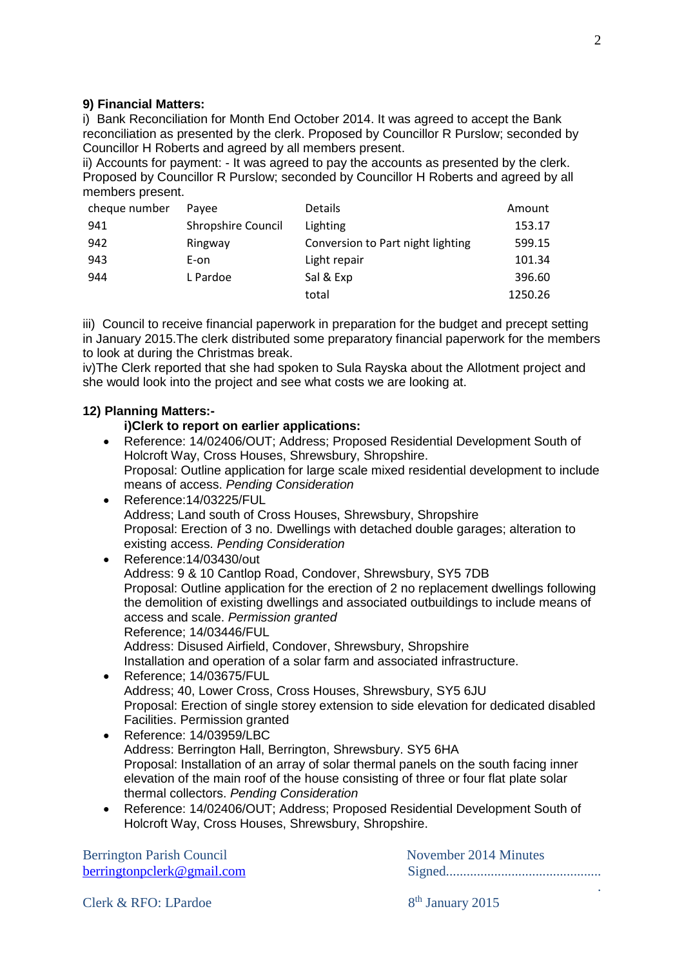#### **9) Financial Matters:**

i) Bank Reconciliation for Month End October 2014. It was agreed to accept the Bank reconciliation as presented by the clerk. Proposed by Councillor R Purslow; seconded by Councillor H Roberts and agreed by all members present.

ii) Accounts for payment: - It was agreed to pay the accounts as presented by the clerk. Proposed by Councillor R Purslow; seconded by Councillor H Roberts and agreed by all members present.

| cheque number | Pavee                     | <b>Details</b>                    | Amount  |
|---------------|---------------------------|-----------------------------------|---------|
| 941           | <b>Shropshire Council</b> | Lighting                          | 153.17  |
| 942           | Ringway                   | Conversion to Part night lighting | 599.15  |
| 943           | E-on                      | Light repair                      | 101.34  |
| 944           | L Pardoe                  | Sal & Exp                         | 396.60  |
|               |                           | total                             | 1250.26 |

iii) Council to receive financial paperwork in preparation for the budget and precept setting in January 2015.The clerk distributed some preparatory financial paperwork for the members to look at during the Christmas break.

iv)The Clerk reported that she had spoken to Sula Rayska about the Allotment project and she would look into the project and see what costs we are looking at.

#### **12) Planning Matters:-**

## **i)Clerk to report on earlier applications:**

- Reference: 14/02406/OUT; Address; Proposed Residential Development South of Holcroft Way, Cross Houses, Shrewsbury, Shropshire. Proposal: Outline application for large scale mixed residential development to include means of access. *Pending Consideration*
- Reference:14/03225/FUL Address; Land south of Cross Houses, Shrewsbury, Shropshire Proposal: Erection of 3 no. Dwellings with detached double garages; alteration to existing access. *Pending Consideration*
- Reference:14/03430/out Address: 9 & 10 Cantlop Road, Condover, Shrewsbury, SY5 7DB Proposal: Outline application for the erection of 2 no replacement dwellings following the demolition of existing dwellings and associated outbuildings to include means of access and scale. *Permission granted* Reference; 14/03446/FUL Address: Disused Airfield, Condover, Shrewsbury, Shropshire Installation and operation of a solar farm and associated infrastructure.
- Reference: 14/03675/FUL Address; 40, Lower Cross, Cross Houses, Shrewsbury, SY5 6JU Proposal: Erection of single storey extension to side elevation for dedicated disabled Facilities. Permission granted
- Reference: 14/03959/LBC Address: Berrington Hall, Berrington, Shrewsbury. SY5 6HA Proposal: Installation of an array of solar thermal panels on the south facing inner elevation of the main roof of the house consisting of three or four flat plate solar thermal collectors. *Pending Consideration*
- Reference: 14/02406/OUT; Address; Proposed Residential Development South of Holcroft Way, Cross Houses, Shrewsbury, Shropshire.

Berrington Parish Council **Example 2014** November 2014 Minutes

[berringtonpclerk@gmail.com](mailto:berringtonpclerk@btinternet.com) Signed.............................................

.

Clerk & RFO: LPardoe

8<sup>th</sup> January 2015